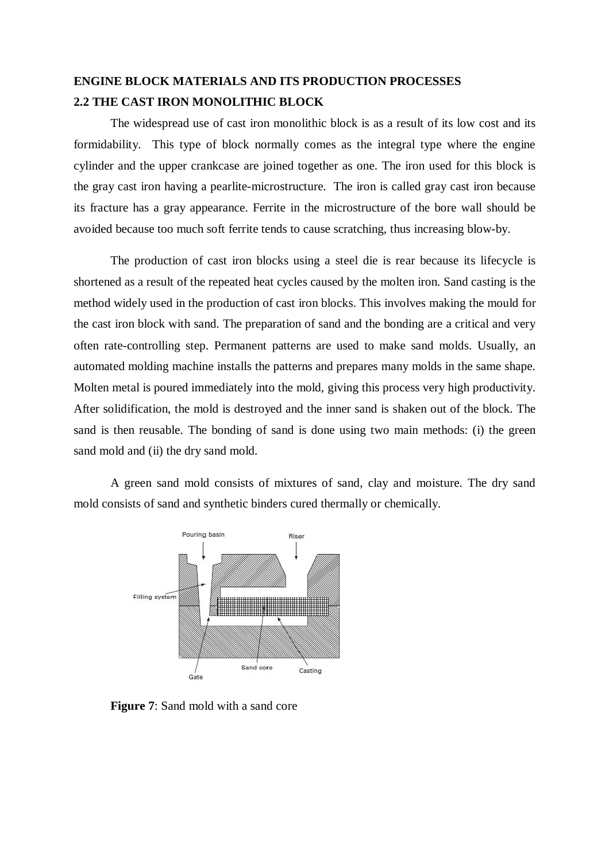## **ENGINE BLOCK MATERIALS AND ITS PRODUCTION PROCESSES 2.2 THE CAST IRON MONOLITHIC BLOCK**

The widespread use of cast iron monolithic block is as a result of its low cost and its formidability. This type of block normally comes as the integral type where the engine cylinder and the upper crankcase are joined together as one. The iron used for this block is the gray cast iron having a pearlite-microstructure. The iron is called gray cast iron because its fracture has a gray appearance. Ferrite in the microstructure of the bore wall should be avoided because too much soft ferrite tends to cause scratching, thus increasing blow-by.

The production of cast iron blocks using a steel die is rear because its lifecycle is shortened as a result of the repeated heat cycles caused by the molten iron. Sand casting is the method widely used in the production of cast iron blocks. This involves making the mould for the cast iron block with sand. The preparation of sand and the bonding are a critical and very often rate-controlling step. Permanent patterns are used to make sand molds. Usually, an automated molding machine installs the patterns and prepares many molds in the same shape. Molten metal is poured immediately into the mold, giving this process very high productivity. After solidification, the mold is destroyed and the inner sand is shaken out of the block. The sand is then reusable. The bonding of sand is done using two main methods: (i) the green sand mold and (ii) the dry sand mold.

A green sand mold consists of mixtures of sand, clay and moisture. The dry sand mold consists of sand and synthetic binders cured thermally or chemically.



**Figure 7**: Sand mold with a sand core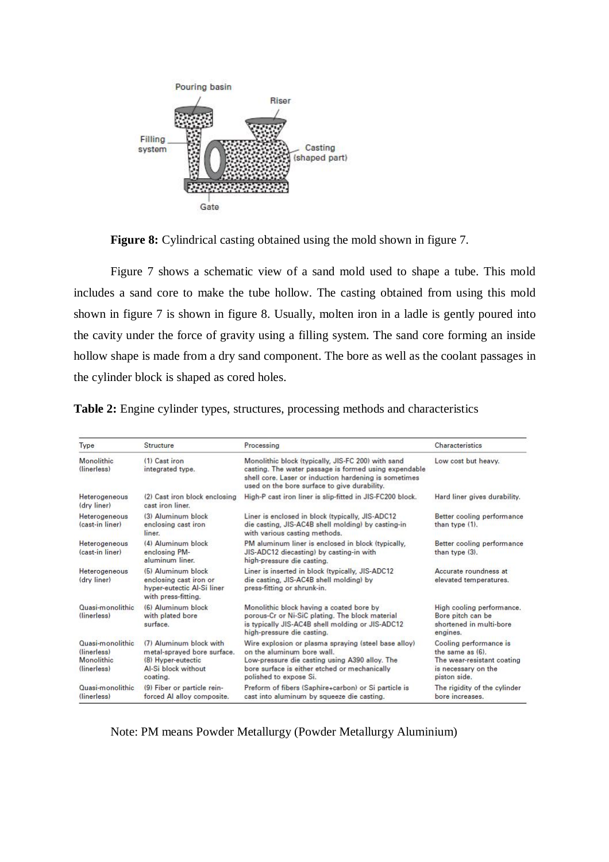

**Figure 8:** Cylindrical casting obtained using the mold shown in figure 7.

Figure 7 shows a schematic view of a sand mold used to shape a tube. This mold includes a sand core to make the tube hollow. The casting obtained from using this mold shown in figure 7 is shown in figure 8. Usually, molten iron in a ladle is gently poured into the cavity under the force of gravity using a filling system. The sand core forming an inside hollow shape is made from a dry sand component. The bore as well as the coolant passages in the cylinder block is shaped as cored holes.

| Table 2: Engine cylinder types, structures, processing methods and characteristics |  |  |  |
|------------------------------------------------------------------------------------|--|--|--|
|                                                                                    |  |  |  |

| Type                                                                 | <b>Structure</b>                                                                                                | Processing                                                                                                                                                                                                           | Characteristics                                                                                                 |  |
|----------------------------------------------------------------------|-----------------------------------------------------------------------------------------------------------------|----------------------------------------------------------------------------------------------------------------------------------------------------------------------------------------------------------------------|-----------------------------------------------------------------------------------------------------------------|--|
| Monolithic<br>(linerless)                                            | (1) Cast iron<br>integrated type.                                                                               | Monolithic block (typically, JIS-FC 200) with sand<br>casting. The water passage is formed using expendable<br>shell core. Laser or induction hardening is sometimes<br>used on the bore surface to give durability. | Low cost but heavy.                                                                                             |  |
| Heterogeneous<br>(dry liner)                                         | (2) Cast iron block enclosing<br>cast iron liner.                                                               | High-P cast iron liner is slip-fitted in JIS-FC200 block.                                                                                                                                                            | Hard liner gives durability.                                                                                    |  |
| Heterogeneous<br>(cast-in liner)                                     | (3) Aluminum block<br>enclosing cast iron<br>liner.                                                             | Liner is enclosed in block (typically, JIS-ADC12)<br>die casting, JIS-AC4B shell molding) by casting-in<br>with various casting methods.                                                                             | Better cooling performance<br>than type (1).                                                                    |  |
| Heterogeneous<br>(cast-in liner)                                     | (4) Aluminum block<br>enclosing PM-<br>aluminum liner.                                                          | PM aluminum liner is enclosed in block (typically,<br>JIS-ADC12 diecasting) by casting-in with<br>high-pressure die casting.                                                                                         | Better cooling performance<br>than type (3).                                                                    |  |
| Heterogeneous<br>(dry liner)                                         | (5) Aluminum block<br>enclosing cast iron or<br>hyper-eutectic Al-Si liner<br>with press-fitting.               | Liner is inserted in block (typically, JIS-ADC12)<br>die casting, JIS-AC4B shell molding) by<br>press-fitting or shrunk-in.                                                                                          | Accurate roundness at<br>elevated temperatures.                                                                 |  |
| Quasi-monolithic<br>(linerless)                                      | (6) Aluminum block<br>with plated bore<br>surface.                                                              | Monolithic block having a coated bore by<br>porous-Cr or Ni-SiC plating. The block material<br>is typically JIS-AC4B shell molding or JIS-ADC12<br>high-pressure die casting.                                        | High cooling performance.<br>Bore pitch can be<br>shortened in multi-bore<br>engines.                           |  |
| Quasi-monolithic.<br>(linerless)<br><b>Monolithic</b><br>(linerless) | (7) Aluminum block with<br>metal-sprayed bore surface.<br>(8) Hyper-eutectic<br>Al-Si block without<br>coating. | Wire explosion or plasma spraying (steel base alloy)<br>on the aluminum bore wall.<br>Low-pressure die casting using A390 alloy. The<br>bore surface is either etched or mechanically<br>polished to expose Si.      | Cooling performance is<br>the same as (6).<br>The wear-resistant coating<br>is necessary on the<br>piston side. |  |
| Quasi-monolithic<br>(linerless)                                      | (9) Fiber or particle rein-<br>forced Al alloy composite.                                                       | Preform of fibers (Saphire+carbon) or Si particle is<br>cast into aluminum by squeeze die casting.                                                                                                                   | The rigidity of the cylinder<br>bore increases.                                                                 |  |

Note: PM means Powder Metallurgy (Powder Metallurgy Aluminium)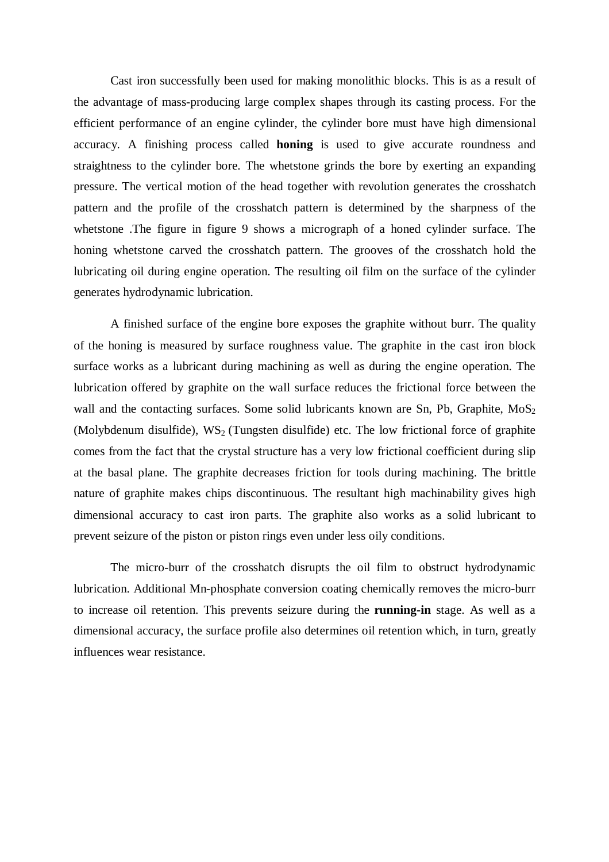Cast iron successfully been used for making monolithic blocks. This is as a result of the advantage of mass-producing large complex shapes through its casting process. For the efficient performance of an engine cylinder, the cylinder bore must have high dimensional accuracy. A finishing process called **honing** is used to give accurate roundness and straightness to the cylinder bore. The whetstone grinds the bore by exerting an expanding pressure. The vertical motion of the head together with revolution generates the crosshatch pattern and the profile of the crosshatch pattern is determined by the sharpness of the whetstone. The figure in figure 9 shows a micrograph of a honed cylinder surface. The honing whetstone carved the crosshatch pattern. The grooves of the crosshatch hold the lubricating oil during engine operation. The resulting oil film on the surface of the cylinder generates hydrodynamic lubrication.

A finished surface of the engine bore exposes the graphite without burr. The quality of the honing is measured by surface roughness value. The graphite in the cast iron block surface works as a lubricant during machining as well as during the engine operation. The lubrication offered by graphite on the wall surface reduces the frictional force between the wall and the contacting surfaces. Some solid lubricants known are Sn, Pb, Graphite,  $MoS<sub>2</sub>$ (Molybdenum disulfide),  $WS_2$  (Tungsten disulfide) etc. The low frictional force of graphite comes from the fact that the crystal structure has a very low frictional coefficient during slip at the basal plane. The graphite decreases friction for tools during machining. The brittle nature of graphite makes chips discontinuous. The resultant high machinability gives high dimensional accuracy to cast iron parts. The graphite also works as a solid lubricant to prevent seizure of the piston or piston rings even under less oily conditions.

The micro-burr of the crosshatch disrupts the oil film to obstruct hydrodynamic lubrication. Additional Mn-phosphate conversion coating chemically removes the micro-burr to increase oil retention. This prevents seizure during the **running-in** stage. As well as a dimensional accuracy, the surface profile also determines oil retention which, in turn, greatly influences wear resistance.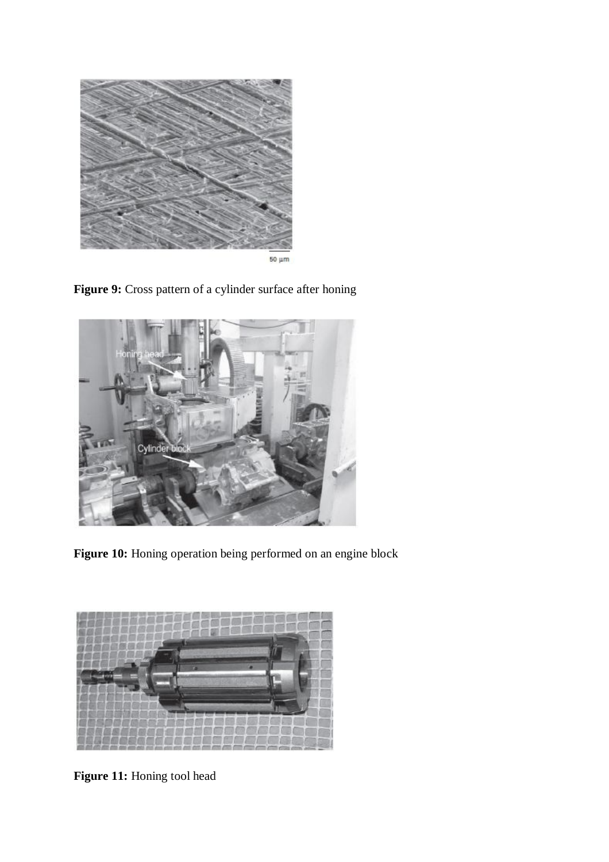







**Figure 10:** Honing operation being performed on an engine block



**Figure 11:** Honing tool head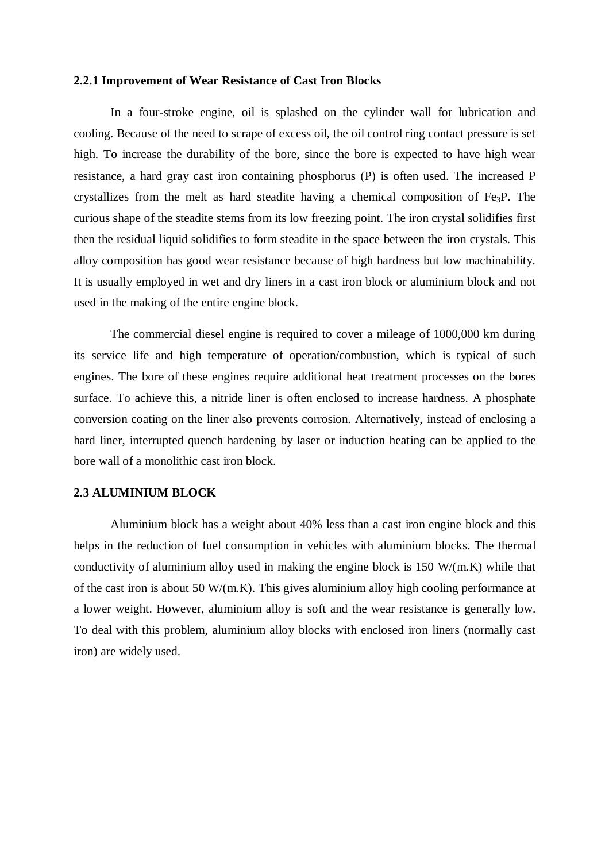#### **2.2.1 Improvement of Wear Resistance of Cast Iron Blocks**

In a four-stroke engine, oil is splashed on the cylinder wall for lubrication and cooling. Because of the need to scrape of excess oil, the oil control ring contact pressure is set high. To increase the durability of the bore, since the bore is expected to have high wear resistance, a hard gray cast iron containing phosphorus (P) is often used. The increased P crystallizes from the melt as hard steadite having a chemical composition of Fe3P. The curious shape of the steadite stems from its low freezing point. The iron crystal solidifies first then the residual liquid solidifies to form steadite in the space between the iron crystals. This alloy composition has good wear resistance because of high hardness but low machinability. It is usually employed in wet and dry liners in a cast iron block or aluminium block and not used in the making of the entire engine block.

The commercial diesel engine is required to cover a mileage of 1000,000 km during its service life and high temperature of operation/combustion, which is typical of such engines. The bore of these engines require additional heat treatment processes on the bores surface. To achieve this, a nitride liner is often enclosed to increase hardness. A phosphate conversion coating on the liner also prevents corrosion. Alternatively, instead of enclosing a hard liner, interrupted quench hardening by laser or induction heating can be applied to the bore wall of a monolithic cast iron block.

#### **2.3 ALUMINIUM BLOCK**

Aluminium block has a weight about 40% less than a cast iron engine block and this helps in the reduction of fuel consumption in vehicles with aluminium blocks. The thermal conductivity of aluminium alloy used in making the engine block is 150 W/(m.K) while that of the cast iron is about 50 W/(m.K). This gives aluminium alloy high cooling performance at a lower weight. However, aluminium alloy is soft and the wear resistance is generally low. To deal with this problem, aluminium alloy blocks with enclosed iron liners (normally cast iron) are widely used.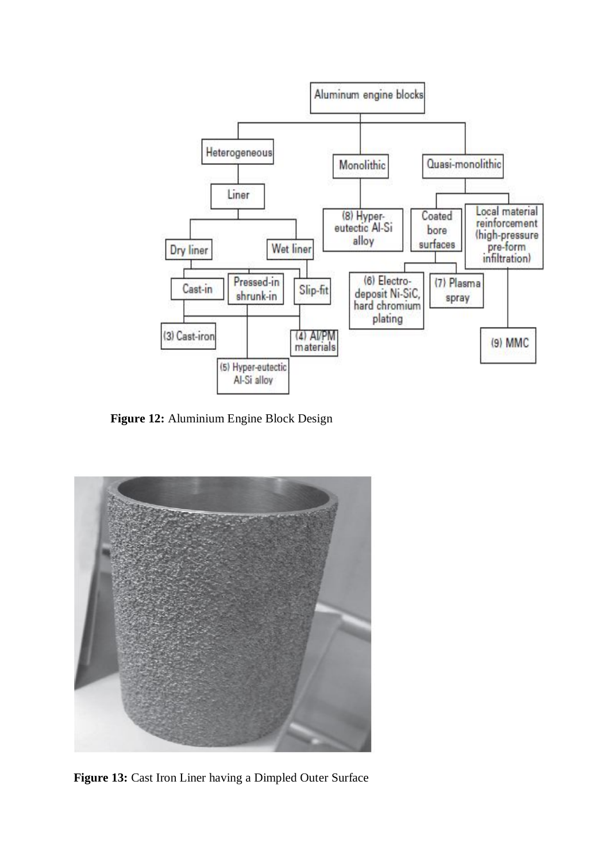

**Figure 12:** Aluminium Engine Block Design



**Figure 13:** Cast Iron Liner having a Dimpled Outer Surface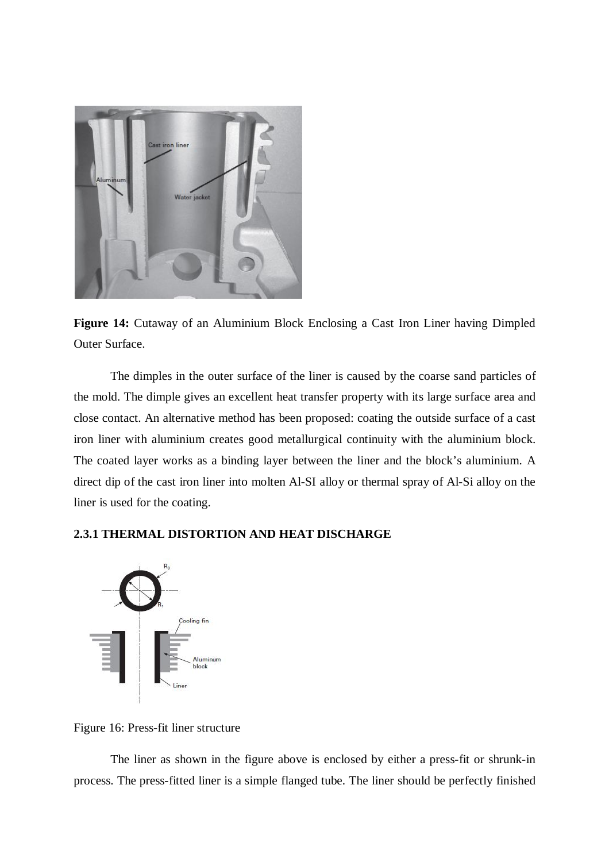

**Figure 14:** Cutaway of an Aluminium Block Enclosing a Cast Iron Liner having Dimpled Outer Surface.

The dimples in the outer surface of the liner is caused by the coarse sand particles of the mold. The dimple gives an excellent heat transfer property with its large surface area and close contact. An alternative method has been proposed: coating the outside surface of a cast iron liner with aluminium creates good metallurgical continuity with the aluminium block. The coated layer works as a binding layer between the liner and the block's aluminium. A direct dip of the cast iron liner into molten Al-SI alloy or thermal spray of Al-Si alloy on the liner is used for the coating.

### **2.3.1 THERMAL DISTORTION AND HEAT DISCHARGE**



Figure 16: Press-fit liner structure

The liner as shown in the figure above is enclosed by either a press-fit or shrunk-in process. The press-fitted liner is a simple flanged tube. The liner should be perfectly finished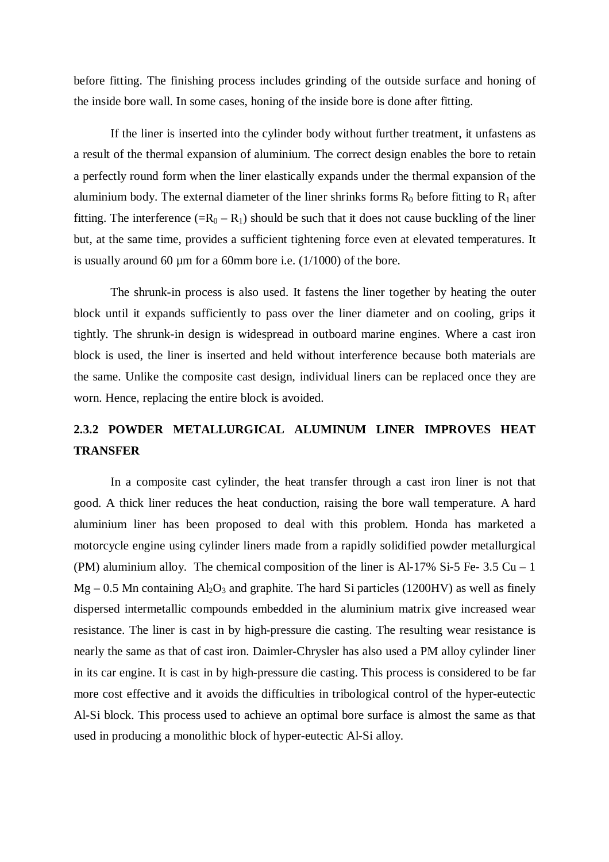before fitting. The finishing process includes grinding of the outside surface and honing of the inside bore wall. In some cases, honing of the inside bore is done after fitting.

If the liner is inserted into the cylinder body without further treatment, it unfastens as a result of the thermal expansion of aluminium. The correct design enables the bore to retain a perfectly round form when the liner elastically expands under the thermal expansion of the aluminium body. The external diameter of the liner shrinks forms  $R_0$  before fitting to  $R_1$  after fitting. The interference  $(=R_0 - R_1)$  should be such that it does not cause buckling of the liner but, at the same time, provides a sufficient tightening force even at elevated temperatures. It is usually around 60 µm for a 60mm bore i.e. (1/1000) of the bore.

The shrunk-in process is also used. It fastens the liner together by heating the outer block until it expands sufficiently to pass over the liner diameter and on cooling, grips it tightly. The shrunk-in design is widespread in outboard marine engines. Where a cast iron block is used, the liner is inserted and held without interference because both materials are the same. Unlike the composite cast design, individual liners can be replaced once they are worn. Hence, replacing the entire block is avoided.

# **2.3.2 POWDER METALLURGICAL ALUMINUM LINER IMPROVES HEAT TRANSFER**

In a composite cast cylinder, the heat transfer through a cast iron liner is not that good. A thick liner reduces the heat conduction, raising the bore wall temperature. A hard aluminium liner has been proposed to deal with this problem. Honda has marketed a motorcycle engine using cylinder liners made from a rapidly solidified powder metallurgical (PM) aluminium alloy. The chemical composition of the liner is  $Al-17\%$  Si-5 Fe- 3.5 Cu – 1  $Mg - 0.5$  Mn containing  $Al_2O_3$  and graphite. The hard Si particles (1200HV) as well as finely dispersed intermetallic compounds embedded in the aluminium matrix give increased wear resistance. The liner is cast in by high-pressure die casting. The resulting wear resistance is nearly the same as that of cast iron. Daimler-Chrysler has also used a PM alloy cylinder liner in its car engine. It is cast in by high-pressure die casting. This process is considered to be far more cost effective and it avoids the difficulties in tribological control of the hyper-eutectic Al-Si block. This process used to achieve an optimal bore surface is almost the same as that used in producing a monolithic block of hyper-eutectic Al-Si alloy.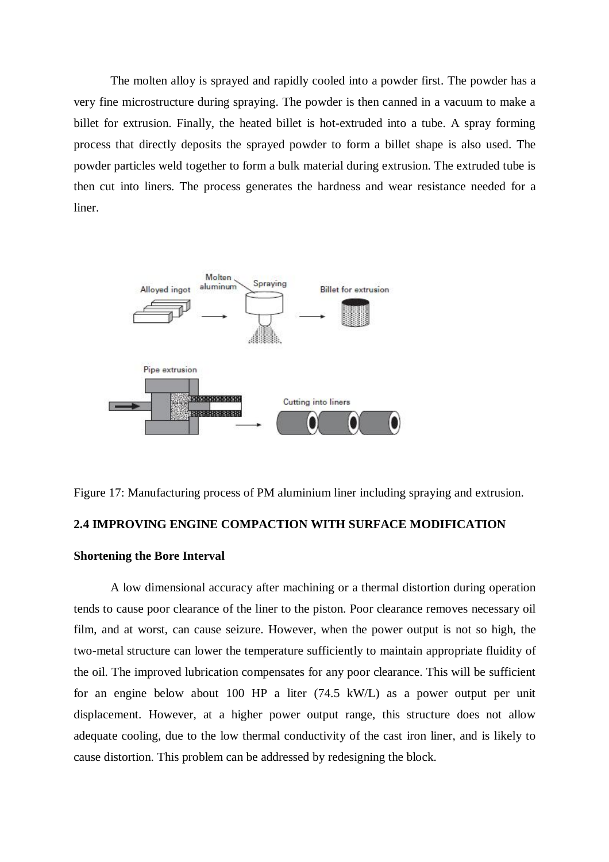The molten alloy is sprayed and rapidly cooled into a powder first. The powder has a very fine microstructure during spraying. The powder is then canned in a vacuum to make a billet for extrusion. Finally, the heated billet is hot-extruded into a tube. A spray forming process that directly deposits the sprayed powder to form a billet shape is also used. The powder particles weld together to form a bulk material during extrusion. The extruded tube is then cut into liners. The process generates the hardness and wear resistance needed for a liner.



Figure 17: Manufacturing process of PM aluminium liner including spraying and extrusion.

#### **2.4 IMPROVING ENGINE COMPACTION WITH SURFACE MODIFICATION**

#### **Shortening the Bore Interval**

A low dimensional accuracy after machining or a thermal distortion during operation tends to cause poor clearance of the liner to the piston. Poor clearance removes necessary oil film, and at worst, can cause seizure. However, when the power output is not so high, the two-metal structure can lower the temperature sufficiently to maintain appropriate fluidity of the oil. The improved lubrication compensates for any poor clearance. This will be sufficient for an engine below about 100 HP a liter (74.5 kW/L) as a power output per unit displacement. However, at a higher power output range, this structure does not allow adequate cooling, due to the low thermal conductivity of the cast iron liner, and is likely to cause distortion. This problem can be addressed by redesigning the block.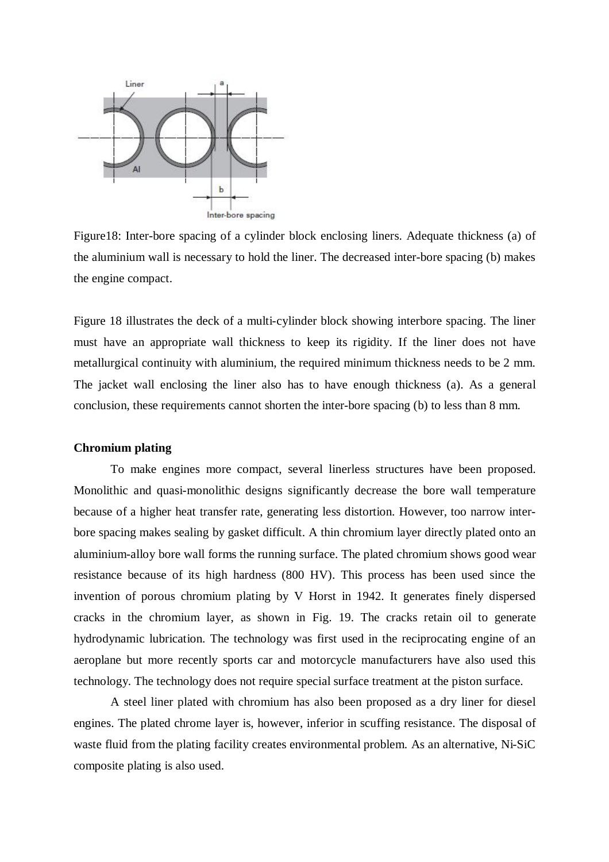

Figure18: Inter-bore spacing of a cylinder block enclosing liners. Adequate thickness (a) of the aluminium wall is necessary to hold the liner. The decreased inter-bore spacing (b) makes the engine compact.

Figure 18 illustrates the deck of a multi-cylinder block showing interbore spacing. The liner must have an appropriate wall thickness to keep its rigidity. If the liner does not have metallurgical continuity with aluminium, the required minimum thickness needs to be 2 mm. The jacket wall enclosing the liner also has to have enough thickness (a). As a general conclusion, these requirements cannot shorten the inter-bore spacing (b) to less than 8 mm.

#### **Chromium plating**

To make engines more compact, several linerless structures have been proposed. Monolithic and quasi-monolithic designs significantly decrease the bore wall temperature because of a higher heat transfer rate, generating less distortion. However, too narrow interbore spacing makes sealing by gasket difficult. A thin chromium layer directly plated onto an aluminium-alloy bore wall forms the running surface. The plated chromium shows good wear resistance because of its high hardness (800 HV). This process has been used since the invention of porous chromium plating by V Horst in 1942. It generates finely dispersed cracks in the chromium layer, as shown in Fig. 19. The cracks retain oil to generate hydrodynamic lubrication. The technology was first used in the reciprocating engine of an aeroplane but more recently sports car and motorcycle manufacturers have also used this technology. The technology does not require special surface treatment at the piston surface.

A steel liner plated with chromium has also been proposed as a dry liner for diesel engines. The plated chrome layer is, however, inferior in scuffing resistance. The disposal of waste fluid from the plating facility creates environmental problem. As an alternative, Ni-SiC composite plating is also used.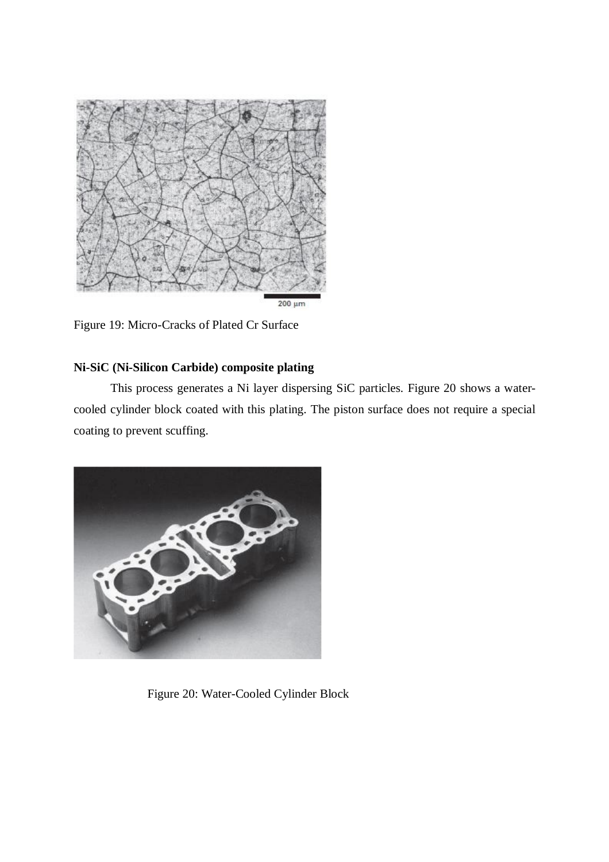

Figure 19: Micro-Cracks of Plated Cr Surface

## **Ni-SiC (Ni-Silicon Carbide) composite plating**

This process generates a Ni layer dispersing SiC particles. Figure 20 shows a watercooled cylinder block coated with this plating. The piston surface does not require a special coating to prevent scuffing.



Figure 20: Water-Cooled Cylinder Block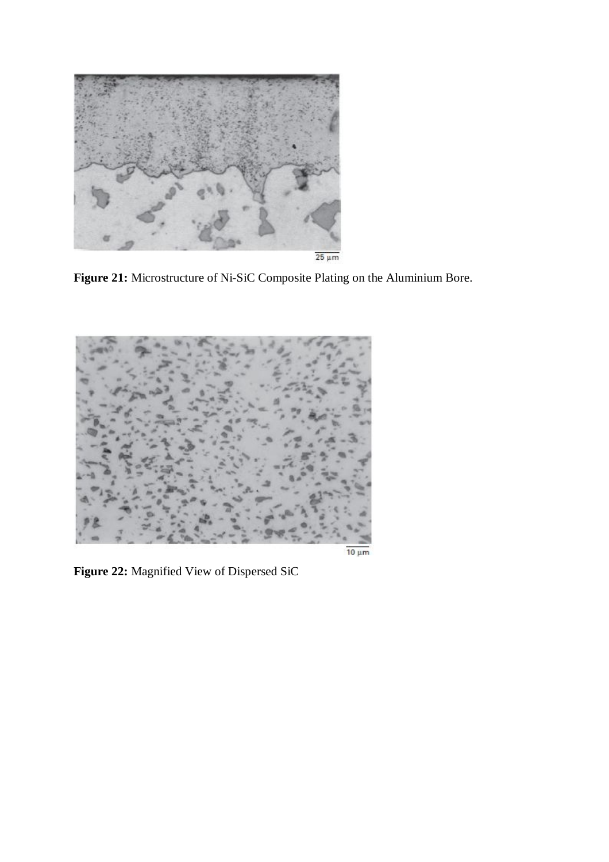

 $\frac{1}{25 \mu m}$ 

**Figure 21:** Microstructure of Ni-SiC Composite Plating on the Aluminium Bore.



**Figure 22:** Magnified View of Dispersed SiC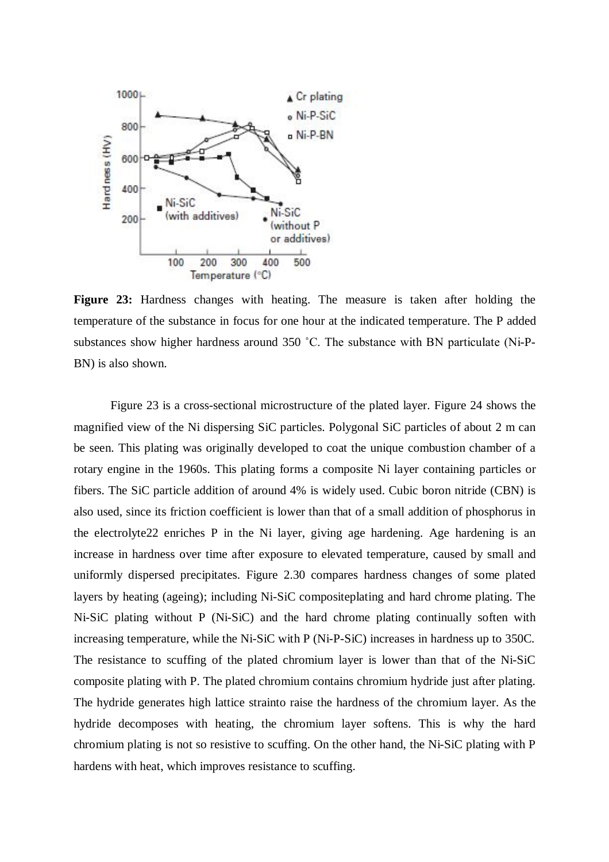

**Figure 23:** Hardness changes with heating. The measure is taken after holding the temperature of the substance in focus for one hour at the indicated temperature. The P added substances show higher hardness around 350 ˚C. The substance with BN particulate (Ni-P-BN) is also shown.

Figure 23 is a cross-sectional microstructure of the plated layer. Figure 24 shows the magnified view of the Ni dispersing SiC particles. Polygonal SiC particles of about 2 m can be seen. This plating was originally developed to coat the unique combustion chamber of a rotary engine in the 1960s. This plating forms a composite Ni layer containing particles or fibers. The SiC particle addition of around 4% is widely used. Cubic boron nitride (CBN) is also used, since its friction coefficient is lower than that of a small addition of phosphorus in the electrolyte22 enriches P in the Ni layer, giving age hardening. Age hardening is an increase in hardness over time after exposure to elevated temperature, caused by small and uniformly dispersed precipitates. Figure 2.30 compares hardness changes of some plated layers by heating (ageing); including Ni-SiC compositeplating and hard chrome plating. The Ni-SiC plating without P (Ni-SiC) and the hard chrome plating continually soften with increasing temperature, while the Ni-SiC with P (Ni-P-SiC) increases in hardness up to 350C. The resistance to scuffing of the plated chromium layer is lower than that of the Ni-SiC composite plating with P. The plated chromium contains chromium hydride just after plating. The hydride generates high lattice strainto raise the hardness of the chromium layer. As the hydride decomposes with heating, the chromium layer softens. This is why the hard chromium plating is not so resistive to scuffing. On the other hand, the Ni-SiC plating with P hardens with heat, which improves resistance to scuffing.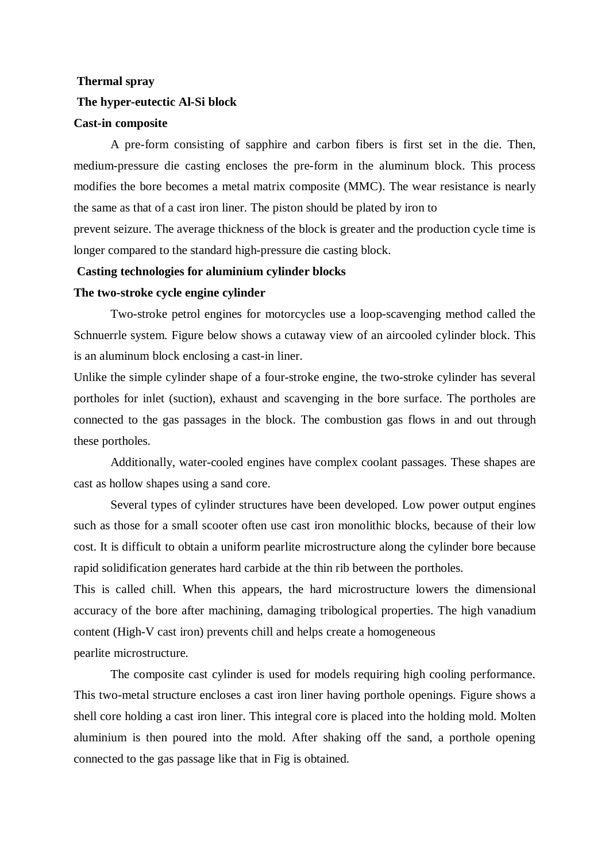# **Thermal spray The hyper-eutectic Al-Si block**

#### **Cast-in composite**

A pre-form consisting of sapphire and carbon fibers is first set in the die. Then, medium-pressure die casting encloses the pre-form in the aluminum block. This process modifies the bore becomes a metal matrix composite (MMC). The wear resistance is nearly the same as that of a cast iron liner. The piston should be plated by iron to

prevent seizure. The average thickness of the block is greater and the production cycle time is longer compared to the standard high-pressure die casting block.

#### **Casting technologies for aluminium cylinder blocks**

#### **The two-stroke cycle engine cylinder**

Two-stroke petrol engines for motorcycles use a loop-scavenging method called the Schnuerrle system. Figure below shows a cutaway view of an aircooled cylinder block. This is an aluminum block enclosing a cast-in liner.

Unlike the simple cylinder shape of a four-stroke engine, the two-stroke cylinder has several portholes for inlet (suction), exhaust and scavenging in the bore surface. The portholes are connected to the gas passages in the block. The combustion gas flows in and out through these portholes.

Additionally, water-cooled engines have complex coolant passages. These shapes are cast as hollow shapes using a sand core.

Several types of cylinder structures have been developed. Low power output engines such as those for a small scooter often use cast iron monolithic blocks, because of their low cost. It is difficult to obtain a uniform pearlite microstructure along the cylinder bore because rapid solidification generates hard carbide at the thin rib between the portholes.

This is called chill. When this appears, the hard microstructure lowers the dimensional accuracy of the bore after machining, damaging tribological properties. The high vanadium content (High-V cast iron) prevents chill and helps create a homogeneous pearlite microstructure.

The composite cast cylinder is used for models requiring high cooling performance. This two-metal structure encloses a cast iron liner having porthole openings. Figure shows a shell core holding a cast iron liner. This integral core is placed into the holding mold. Molten aluminium is then poured into the mold. After shaking off the sand, a porthole opening connected to the gas passage like that in Fig is obtained.